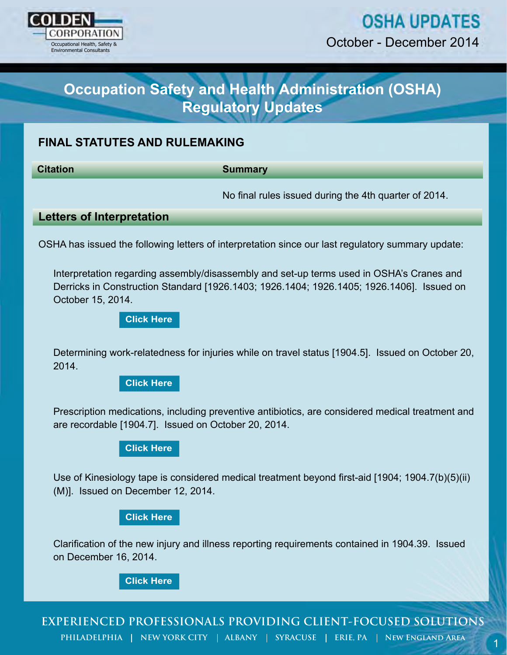

# **OSHA UPDATES**

October - December 2014

# **Occupation Safety and Health Administration (OSHA) Regulatory Updates**

# **FINAL STATUTES AND RULEMAKING**

**Citation Summary**

No final rules issued during the 4th quarter of 2014.

### **Letters of Interpretation**

OSHA has issued the following letters of interpretation since our last regulatory summary update:

Cocours - December 2014<br>
Cocours - December 2014<br>
Regulatory Updates<br>
NAL STATUTES AND RULEMAKING<br>
No final rules issued during the 4th quarter of 2014.<br>
Hers of Interpretation<br>
HA has issued the following letters of inter Interpretation regarding assembly/disassembly and set-up terms used in OSHA's Cranes and Derricks in Construction Standard [1926.1403; 1926.1404; 1926.1405; 1926.1406]. Issued on October 15, 2014.

**[Click Here](https://www.osha.gov/pls/oshaweb/owadisp.show_document?p_table=INTERPRETATIONS&p_id=29267)**

Determining work-relatedness for injuries while on travel status [1904.5]. Issued on October 20, 2014.

**[Click Here](https://www.osha.gov/pls/oshaweb/owadisp.show_document?p_table=INTERPRETATIONS&p_id=29264)**

Prescription medications, including preventive antibiotics, are considered medical treatment and are recordable [1904.7]. Issued on October 20, 2014.

**[Click Here](https://www.osha.gov/pls/oshaweb/owadisp.show_document?p_table=INTERPRETATIONS&p_id=29270)**

Use of Kinesiology tape is considered medical treatment beyond first-aid [1904; 1904.7(b)(5)(ii) (M)]. Issued on December 12, 2014.

#### **[Click Here](https://www.osha.gov/pls/oshaweb/owadisp.show_document?p_table=INTERPRETATIONS&p_id=29288)**

Clarification of the new injury and illness reporting requirements contained in 1904.39. Issued on December 16, 2014.

**[Click Here](https://www.osha.gov/pls/oshaweb/owadisp.show_document?p_table=INTERPRETATIONS&p_id=29291)**

**EXPERIENCED PROFESSIONALS PROVIDING CLIENT-FOCUSED SOLUTIONS** PHILADELPHIA | NEW YORK CITY | ALBANY | SYRACUSE | ERIE, PA | NEW ENGLAND AREA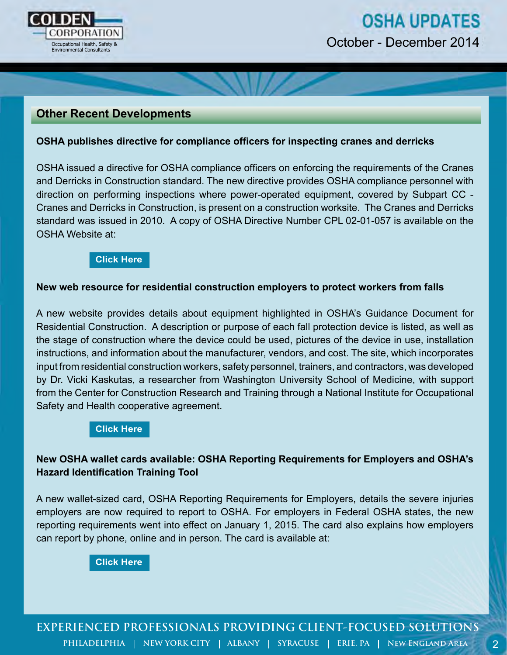

# **Other Recent Developments**

#### **OSHA publishes directive for compliance officers for inspecting cranes and derricks**

OSHA issued a directive for OSHA compliance officers on enforcing the requirements of the Cranes and Derricks in Construction standard. The new directive provides OSHA compliance personnel with direction on performing inspections where power-operated equipment, covered by Subpart CC - Cranes and Derricks in Construction, is present on a construction worksite. The Cranes and Derricks standard was issued in 2010. A copy of OSHA Directive Number CPL 02-01-057 is available on the OSHA Website at:

#### **[Click Here](https://www.osha.gov/OshDoc/Directive_pdf/CPL_02-01-057.pdf)**

#### **New web resource for residential construction employers to protect workers from falls**

A new website provides details about equipment highlighted in OSHA's Guidance Document for Residential Construction. A description or purpose of each fall protection device is listed, as well as the stage of construction where the device could be used, pictures of the device in use, installation instructions, and information about the manufacturer, vendors, and cost. The site, which incorporates input from residential construction workers, safety personnel, trainers, and contractors, was developed by Dr. Vicki Kaskutas, a researcher from Washington University School of Medicine, with support from the Center for Construction Research and Training through a National Institute for Occupational Safety and Health cooperative agreement.

#### **[Click Here](http://www.ot.wustl.edu/fptech/homepage.htm)**

## **New OSHA wallet cards available: OSHA Reporting Requirements for Employers and OSHA's Hazard Identification Training Tool**

A new wallet-sized card, OSHA Reporting Requirements for Employers, details the severe injuries employers are now required to report to OSHA. For employers in Federal OSHA states, the new reporting requirements went into effect on January 1, 2015. The card also explains how employers can report by phone, online and in person. The card is available at:

**[Click Here](https://www.osha.gov/Publications/OSHA3754.pdf)**

**EXPERIENCED PROFESSIONALS PROVIDING CLIENT-FOCUSED SOLUTIONS PHILADELPHIA | NEW YORK CITY | ALBANY | SYRACUSE | ERIE, PA | NEW ENGLAND AREA**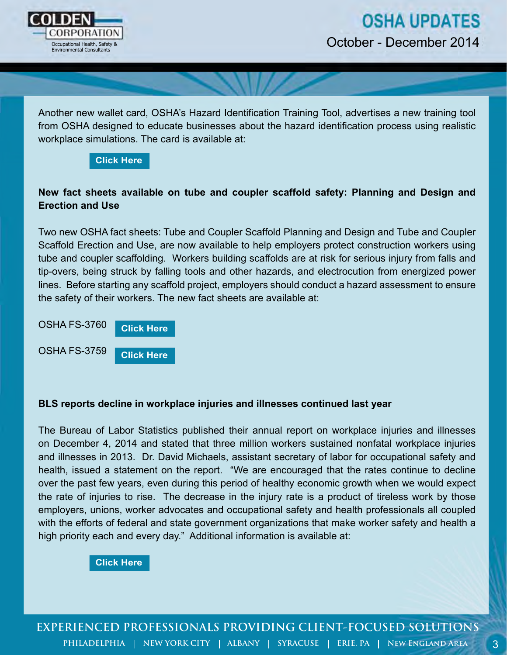

Another new wallet card, OSHA's Hazard Identification Training Tool, advertises a new training tool from OSHA designed to educate businesses about the hazard identification process using realistic workplace simulations. The card is available at:



# **New fact sheets available on tube and coupler scaffold safety: Planning and Design and Erection and Use**

Two new OSHA fact sheets: Tube and Coupler Scaffold Planning and Design and Tube and Coupler Scaffold Erection and Use, are now available to help employers protect construction workers using tube and coupler scaffolding. Workers building scaffolds are at risk for serious injury from falls and tip-overs, being struck by falling tools and other hazards, and electrocution from energized power lines. Before starting any scaffold project, employers should conduct a hazard assessment to ensure the safety of their workers. The new fact sheets are available at:

OSHA FS-3760 OSHA FS-3759 **[Click Here](https://www.osha.gov/Publications/OSHA_FS-3760.pdf)**

**[Click Here](https://www.osha.gov/Publications/OSHA_FS-3759.pdf)**

#### **BLS reports decline in workplace injuries and illnesses continued last year**

The Bureau of Labor Statistics published their annual report on workplace injuries and illnesses on December 4, 2014 and stated that three million workers sustained nonfatal workplace injuries and illnesses in 2013. Dr. David Michaels, assistant secretary of labor for occupational safety and health, issued a statement on the report. "We are encouraged that the rates continue to decline over the past few years, even during this period of healthy economic growth when we would expect the rate of injuries to rise. The decrease in the injury rate is a product of tireless work by those employers, unions, worker advocates and occupational safety and health professionals all coupled with the efforts of federal and state government organizations that make worker safety and health a high priority each and every day." Additional information is available at:

**[Click Here](http://www.bls.gov/news.release/osh.nr0.htm)**